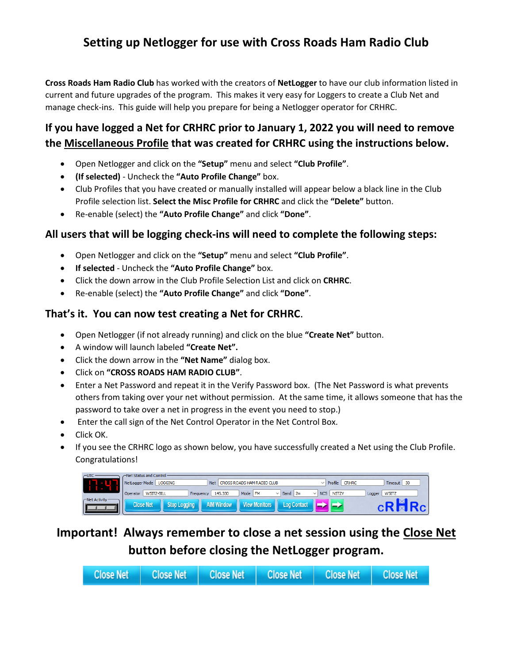## **Setting up Netlogger for use with Cross Roads Ham Radio Club**

**Cross Roads Ham Radio Club** has worked with the creators of **NetLogger** to have our club information listed in current and future upgrades of the program. This makes it very easy for Loggers to create a Club Net and manage check-ins. This guide will help you prepare for being a Netlogger operator for CRHRC.

## **If you have logged a Net for CRHRC prior to January 1, 2022 you will need to remove the Miscellaneous Profile that was created for CRHRC using the instructions below.**

- Open Netlogger and click on the **"Setup"** menu and select **"Club Profile"**.
- **(If selected)** Uncheck the **"Auto Profile Change"** box.
- Club Profiles that you have created or manually installed will appear below a black line in the Club Profile selection list. **Select the Misc Profile for CRHRC** and click the **"Delete"** button.
- Re-enable (select) the **"Auto Profile Change"** and click **"Done"**.

#### **All users that will be logging check-ins will need to complete the following steps:**

- Open Netlogger and click on the **"Setup"** menu and select **"Club Profile"**.
- **If selected** Uncheck the **"Auto Profile Change"** box.
- Click the down arrow in the Club Profile Selection List and click on **CRHRC**.
- Re-enable (select) the **"Auto Profile Change"** and click **"Done"**.

### **That's it. You can now test creating a Net for CRHRC**.

- Open Netlogger (if not already running) and click on the blue **"Create Net"** button.
- A window will launch labeled **"Create Net".**
- Click the down arrow in the **"Net Name"** dialog box.
- Click on **"CROSS ROADS HAM RADIO CLUB"**.
- Enter a Net Password and repeat it in the Verify Password box. (The Net Password is what prevents others from taking over your net without permission. At the same time, it allows someone that has the password to take over a net in progress in the event you need to stop.)
- Enter the call sign of the Net Control Operator in the Net Control Box.
- Click OK.
- If you see the CRHRC logo as shown below, you have successfully created a Net using the Club Profile. Congratulations!

| ∼∪тс           | het Status and Control –         |                                                                 |                                                  |  |  |  |  |  |
|----------------|----------------------------------|-----------------------------------------------------------------|--------------------------------------------------|--|--|--|--|--|
|                | <b>LOGGING</b><br>NetLogger Mode | <b>Net</b><br>CROSS ROADS HAM RADIO CLUB                        | Profile<br>$\vert$ 30<br><b>CRHRC</b><br>Timeout |  |  |  |  |  |
|                | W5ITZ-BILL<br>Operator           | 145,330<br>Mode   FM<br>$\vee$ Band<br>$\sqrt{2m}$<br>Frequency | N5TZV<br>W5ITZ<br>NCS  <br>Logger                |  |  |  |  |  |
| -Net Activity- | Close Net<br><b>Stop Logging</b> | <b>View Monitors</b><br><b>AIM Window</b><br><b>Loa Contact</b> |                                                  |  |  |  |  |  |
|                |                                  |                                                                 |                                                  |  |  |  |  |  |

# **Important! Always remember to close a net session using the Close Net button before closing the NetLogger program.**

| Close Net   Close Net   Close Net   Close Net   Close Net   Close Net |  |  |  |
|-----------------------------------------------------------------------|--|--|--|
|-----------------------------------------------------------------------|--|--|--|